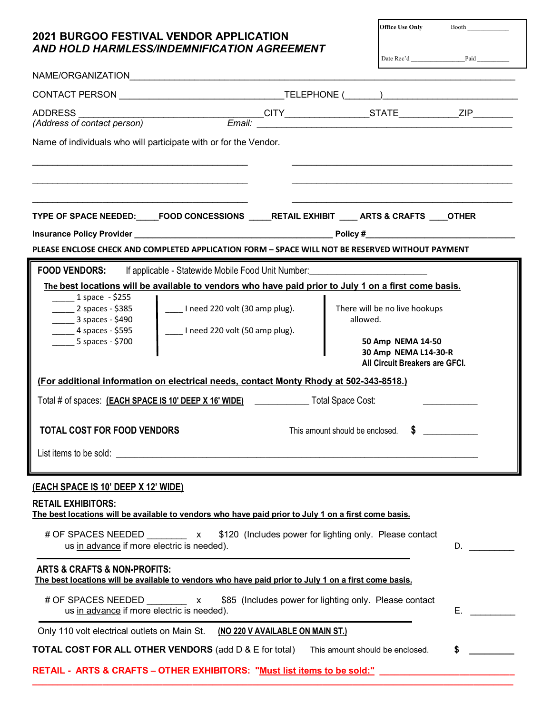## **2021 BURGOO FESTIVAL VENDOR APPLICATION**  $\text{Office Use Only}$  Booth Booth Date Rec'd \_\_\_\_\_\_\_\_\_\_\_\_\_\_\_\_\_Paid \_\_\_\_\_\_\_\_\_\_ *AND HOLD HARMLESS/INDEMNIFICATION AGREEMENT*

| Name of individuals who will participate with or for the Vendor.<br>TYPE OF SPACE NEEDED:____FOOD CONCESSIONS ____RETAIL EXHIBIT ____ ARTS & CRAFTS ____OTHER<br>PLEASE ENCLOSE CHECK AND COMPLETED APPLICATION FORM - SPACE WILL NOT BE RESERVED WITHOUT PAYMENT<br><b>FOOD VENDORS:</b><br>If applicable - Statewide Mobile Food Unit Number: _____________________________<br>The best locations will be available to vendors who have paid prior to July 1 on a first come basis.<br>$1$ space - \$255<br>____ I need 220 volt (30 amp plug).<br>$2$ spaces - \$385<br>There will be no live hookups<br>$\frac{1}{2}$ 3 spaces - \$490<br>allowed.<br>____ I need 220 volt (50 amp plug).<br>$-4$ spaces - \$595<br>$-5$ spaces - \$700<br>50 Amp NEMA 14-50<br>30 Amp NEMA L14-30-R<br>All Circuit Breakers are GFCI.<br>(For additional information on electrical needs, contact Monty Rhody at 502-343-8518.)<br>Total # of spaces: (EACH SPACE IS 10' DEEP X 16' WIDE) Can Cotal Space Cost:<br>$\sim$<br><b>TOTAL COST FOR FOOD VENDORS</b><br>This amount should be enclosed.<br>The best locations will be available to vendors who have paid prior to July 1 on a first come basis.<br># OF SPACES NEEDED x \$120 (Includes power for lighting only. Please contact<br>us in advance if more electric is needed).<br>The best locations will be available to vendors who have paid prior to July 1 on a first come basis.<br># OF SPACES NEEDED x<br>\$85 (Includes power for lighting only. Please contact<br>us in advance if more electric is needed).<br>Only 110 volt electrical outlets on Main St. (NO 220 V AVAILABLE ON MAIN ST.)<br><b>TOTAL COST FOR ALL OTHER VENDORS</b> (add D & E for total)<br>\$<br>This amount should be enclosed.<br>RETAIL - ARTS & CRAFTS - OTHER EXHIBITORS: "Must list items to be sold:" |                                             |  |                                                                                                                                                                                                                                |  |
|----------------------------------------------------------------------------------------------------------------------------------------------------------------------------------------------------------------------------------------------------------------------------------------------------------------------------------------------------------------------------------------------------------------------------------------------------------------------------------------------------------------------------------------------------------------------------------------------------------------------------------------------------------------------------------------------------------------------------------------------------------------------------------------------------------------------------------------------------------------------------------------------------------------------------------------------------------------------------------------------------------------------------------------------------------------------------------------------------------------------------------------------------------------------------------------------------------------------------------------------------------------------------------------------------------------------------------------------------------------------------------------------------------------------------------------------------------------------------------------------------------------------------------------------------------------------------------------------------------------------------------------------------------------------------------------------------------------------------------------------------------------------------------------------------------------------------------------------|---------------------------------------------|--|--------------------------------------------------------------------------------------------------------------------------------------------------------------------------------------------------------------------------------|--|
|                                                                                                                                                                                                                                                                                                                                                                                                                                                                                                                                                                                                                                                                                                                                                                                                                                                                                                                                                                                                                                                                                                                                                                                                                                                                                                                                                                                                                                                                                                                                                                                                                                                                                                                                                                                                                                              |                                             |  |                                                                                                                                                                                                                                |  |
|                                                                                                                                                                                                                                                                                                                                                                                                                                                                                                                                                                                                                                                                                                                                                                                                                                                                                                                                                                                                                                                                                                                                                                                                                                                                                                                                                                                                                                                                                                                                                                                                                                                                                                                                                                                                                                              |                                             |  |                                                                                                                                                                                                                                |  |
|                                                                                                                                                                                                                                                                                                                                                                                                                                                                                                                                                                                                                                                                                                                                                                                                                                                                                                                                                                                                                                                                                                                                                                                                                                                                                                                                                                                                                                                                                                                                                                                                                                                                                                                                                                                                                                              |                                             |  |                                                                                                                                                                                                                                |  |
|                                                                                                                                                                                                                                                                                                                                                                                                                                                                                                                                                                                                                                                                                                                                                                                                                                                                                                                                                                                                                                                                                                                                                                                                                                                                                                                                                                                                                                                                                                                                                                                                                                                                                                                                                                                                                                              |                                             |  |                                                                                                                                                                                                                                |  |
|                                                                                                                                                                                                                                                                                                                                                                                                                                                                                                                                                                                                                                                                                                                                                                                                                                                                                                                                                                                                                                                                                                                                                                                                                                                                                                                                                                                                                                                                                                                                                                                                                                                                                                                                                                                                                                              |                                             |  |                                                                                                                                                                                                                                |  |
|                                                                                                                                                                                                                                                                                                                                                                                                                                                                                                                                                                                                                                                                                                                                                                                                                                                                                                                                                                                                                                                                                                                                                                                                                                                                                                                                                                                                                                                                                                                                                                                                                                                                                                                                                                                                                                              |                                             |  |                                                                                                                                                                                                                                |  |
|                                                                                                                                                                                                                                                                                                                                                                                                                                                                                                                                                                                                                                                                                                                                                                                                                                                                                                                                                                                                                                                                                                                                                                                                                                                                                                                                                                                                                                                                                                                                                                                                                                                                                                                                                                                                                                              |                                             |  |                                                                                                                                                                                                                                |  |
|                                                                                                                                                                                                                                                                                                                                                                                                                                                                                                                                                                                                                                                                                                                                                                                                                                                                                                                                                                                                                                                                                                                                                                                                                                                                                                                                                                                                                                                                                                                                                                                                                                                                                                                                                                                                                                              |                                             |  |                                                                                                                                                                                                                                |  |
|                                                                                                                                                                                                                                                                                                                                                                                                                                                                                                                                                                                                                                                                                                                                                                                                                                                                                                                                                                                                                                                                                                                                                                                                                                                                                                                                                                                                                                                                                                                                                                                                                                                                                                                                                                                                                                              |                                             |  |                                                                                                                                                                                                                                |  |
|                                                                                                                                                                                                                                                                                                                                                                                                                                                                                                                                                                                                                                                                                                                                                                                                                                                                                                                                                                                                                                                                                                                                                                                                                                                                                                                                                                                                                                                                                                                                                                                                                                                                                                                                                                                                                                              |                                             |  |                                                                                                                                                                                                                                |  |
|                                                                                                                                                                                                                                                                                                                                                                                                                                                                                                                                                                                                                                                                                                                                                                                                                                                                                                                                                                                                                                                                                                                                                                                                                                                                                                                                                                                                                                                                                                                                                                                                                                                                                                                                                                                                                                              |                                             |  |                                                                                                                                                                                                                                |  |
|                                                                                                                                                                                                                                                                                                                                                                                                                                                                                                                                                                                                                                                                                                                                                                                                                                                                                                                                                                                                                                                                                                                                                                                                                                                                                                                                                                                                                                                                                                                                                                                                                                                                                                                                                                                                                                              |                                             |  |                                                                                                                                                                                                                                |  |
|                                                                                                                                                                                                                                                                                                                                                                                                                                                                                                                                                                                                                                                                                                                                                                                                                                                                                                                                                                                                                                                                                                                                                                                                                                                                                                                                                                                                                                                                                                                                                                                                                                                                                                                                                                                                                                              |                                             |  |                                                                                                                                                                                                                                |  |
|                                                                                                                                                                                                                                                                                                                                                                                                                                                                                                                                                                                                                                                                                                                                                                                                                                                                                                                                                                                                                                                                                                                                                                                                                                                                                                                                                                                                                                                                                                                                                                                                                                                                                                                                                                                                                                              |                                             |  |                                                                                                                                                                                                                                |  |
|                                                                                                                                                                                                                                                                                                                                                                                                                                                                                                                                                                                                                                                                                                                                                                                                                                                                                                                                                                                                                                                                                                                                                                                                                                                                                                                                                                                                                                                                                                                                                                                                                                                                                                                                                                                                                                              |                                             |  |                                                                                                                                                                                                                                |  |
|                                                                                                                                                                                                                                                                                                                                                                                                                                                                                                                                                                                                                                                                                                                                                                                                                                                                                                                                                                                                                                                                                                                                                                                                                                                                                                                                                                                                                                                                                                                                                                                                                                                                                                                                                                                                                                              |                                             |  |                                                                                                                                                                                                                                |  |
|                                                                                                                                                                                                                                                                                                                                                                                                                                                                                                                                                                                                                                                                                                                                                                                                                                                                                                                                                                                                                                                                                                                                                                                                                                                                                                                                                                                                                                                                                                                                                                                                                                                                                                                                                                                                                                              |                                             |  |                                                                                                                                                                                                                                |  |
|                                                                                                                                                                                                                                                                                                                                                                                                                                                                                                                                                                                                                                                                                                                                                                                                                                                                                                                                                                                                                                                                                                                                                                                                                                                                                                                                                                                                                                                                                                                                                                                                                                                                                                                                                                                                                                              |                                             |  |                                                                                                                                                                                                                                |  |
|                                                                                                                                                                                                                                                                                                                                                                                                                                                                                                                                                                                                                                                                                                                                                                                                                                                                                                                                                                                                                                                                                                                                                                                                                                                                                                                                                                                                                                                                                                                                                                                                                                                                                                                                                                                                                                              |                                             |  |                                                                                                                                                                                                                                |  |
|                                                                                                                                                                                                                                                                                                                                                                                                                                                                                                                                                                                                                                                                                                                                                                                                                                                                                                                                                                                                                                                                                                                                                                                                                                                                                                                                                                                                                                                                                                                                                                                                                                                                                                                                                                                                                                              |                                             |  |                                                                                                                                                                                                                                |  |
|                                                                                                                                                                                                                                                                                                                                                                                                                                                                                                                                                                                                                                                                                                                                                                                                                                                                                                                                                                                                                                                                                                                                                                                                                                                                                                                                                                                                                                                                                                                                                                                                                                                                                                                                                                                                                                              |                                             |  |                                                                                                                                                                                                                                |  |
|                                                                                                                                                                                                                                                                                                                                                                                                                                                                                                                                                                                                                                                                                                                                                                                                                                                                                                                                                                                                                                                                                                                                                                                                                                                                                                                                                                                                                                                                                                                                                                                                                                                                                                                                                                                                                                              | (EACH SPACE IS 10' DEEP X 12' WIDE)         |  |                                                                                                                                                                                                                                |  |
|                                                                                                                                                                                                                                                                                                                                                                                                                                                                                                                                                                                                                                                                                                                                                                                                                                                                                                                                                                                                                                                                                                                                                                                                                                                                                                                                                                                                                                                                                                                                                                                                                                                                                                                                                                                                                                              | <b>RETAIL EXHIBITORS:</b>                   |  |                                                                                                                                                                                                                                |  |
|                                                                                                                                                                                                                                                                                                                                                                                                                                                                                                                                                                                                                                                                                                                                                                                                                                                                                                                                                                                                                                                                                                                                                                                                                                                                                                                                                                                                                                                                                                                                                                                                                                                                                                                                                                                                                                              |                                             |  |                                                                                                                                                                                                                                |  |
|                                                                                                                                                                                                                                                                                                                                                                                                                                                                                                                                                                                                                                                                                                                                                                                                                                                                                                                                                                                                                                                                                                                                                                                                                                                                                                                                                                                                                                                                                                                                                                                                                                                                                                                                                                                                                                              |                                             |  |                                                                                                                                                                                                                                |  |
|                                                                                                                                                                                                                                                                                                                                                                                                                                                                                                                                                                                                                                                                                                                                                                                                                                                                                                                                                                                                                                                                                                                                                                                                                                                                                                                                                                                                                                                                                                                                                                                                                                                                                                                                                                                                                                              |                                             |  | D.                                                                                                                                                                                                                             |  |
|                                                                                                                                                                                                                                                                                                                                                                                                                                                                                                                                                                                                                                                                                                                                                                                                                                                                                                                                                                                                                                                                                                                                                                                                                                                                                                                                                                                                                                                                                                                                                                                                                                                                                                                                                                                                                                              | <b>ARTS &amp; CRAFTS &amp; NON-PROFITS:</b> |  |                                                                                                                                                                                                                                |  |
|                                                                                                                                                                                                                                                                                                                                                                                                                                                                                                                                                                                                                                                                                                                                                                                                                                                                                                                                                                                                                                                                                                                                                                                                                                                                                                                                                                                                                                                                                                                                                                                                                                                                                                                                                                                                                                              |                                             |  |                                                                                                                                                                                                                                |  |
|                                                                                                                                                                                                                                                                                                                                                                                                                                                                                                                                                                                                                                                                                                                                                                                                                                                                                                                                                                                                                                                                                                                                                                                                                                                                                                                                                                                                                                                                                                                                                                                                                                                                                                                                                                                                                                              |                                             |  | E. All and the state of the state of the state of the state of the state of the state of the state of the state of the state of the state of the state of the state of the state of the state of the state of the state of the |  |
|                                                                                                                                                                                                                                                                                                                                                                                                                                                                                                                                                                                                                                                                                                                                                                                                                                                                                                                                                                                                                                                                                                                                                                                                                                                                                                                                                                                                                                                                                                                                                                                                                                                                                                                                                                                                                                              |                                             |  |                                                                                                                                                                                                                                |  |
|                                                                                                                                                                                                                                                                                                                                                                                                                                                                                                                                                                                                                                                                                                                                                                                                                                                                                                                                                                                                                                                                                                                                                                                                                                                                                                                                                                                                                                                                                                                                                                                                                                                                                                                                                                                                                                              |                                             |  |                                                                                                                                                                                                                                |  |
|                                                                                                                                                                                                                                                                                                                                                                                                                                                                                                                                                                                                                                                                                                                                                                                                                                                                                                                                                                                                                                                                                                                                                                                                                                                                                                                                                                                                                                                                                                                                                                                                                                                                                                                                                                                                                                              |                                             |  |                                                                                                                                                                                                                                |  |
|                                                                                                                                                                                                                                                                                                                                                                                                                                                                                                                                                                                                                                                                                                                                                                                                                                                                                                                                                                                                                                                                                                                                                                                                                                                                                                                                                                                                                                                                                                                                                                                                                                                                                                                                                                                                                                              |                                             |  |                                                                                                                                                                                                                                |  |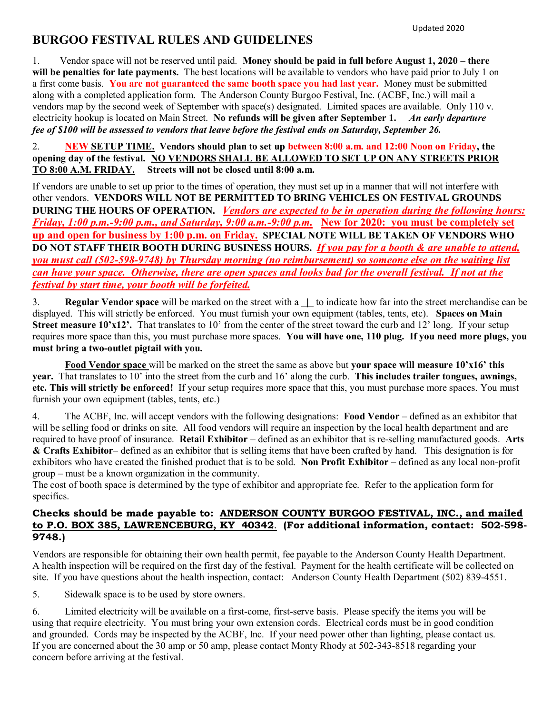# **BURGOO FESTIVAL RULES AND GUIDELINES**

1. Vendor space will not be reserved until paid. **Money should be paid in full before August 1, 2020 – there will be penalties for late payments.** The best locations will be available to vendors who have paid prior to July 1 on a first come basis. **You are not guaranteed the same booth space you had last year.** Money must be submitted along with a completed application form. The Anderson County Burgoo Festival, Inc. (ACBF, Inc.) will mail a vendors map by the second week of September with space(s) designated. Limited spaces are available. Only 110 v. electricity hookup is located on Main Street. **No refunds will be given after September 1.** *An early departure fee of \$100 will be assessed to vendors that leave before the festival ends on Saturday, September 26.*

2. **NEW SETUP TIME. Vendors should plan to set up between 8:00 a.m. and 12:00 Noon on Friday, the opening day of the festival. NO VENDORS SHALL BE ALLOWED TO SET UP ON ANY STREETS PRIOR TO 8:00 A.M. FRIDAY. Streets will not be closed until 8:00 a.m.**

If vendors are unable to set up prior to the times of operation, they must set up in a manner that will not interfere with other vendors. **VENDORS WILL NOT BE PERMITTED TO BRING VEHICLES ON FESTIVAL GROUNDS DURING THE HOURS OF OPERATION.** *Vendors are expected to be in operation during the following hours: Friday, 1:00 p.m.-9:00 p.m., and Saturday, 9:00 a.m.-9:00 p.m.* **New for 2020: you must be completely set up and open for business by 1:00 p.m. on Friday. SPECIAL NOTE WILL BE TAKEN OF VENDORS WHO DO NOT STAFF THEIR BOOTH DURING BUSINESS HOURS.** *If you pay for a booth & are unable to attend, you must call (502-598-9748) by Thursday morning (no reimbursement) so someone else on the waiting list can have your space. Otherwise, there are open spaces and looks bad for the overall festival. If not at the festival by start time, your booth will be forfeited.*

3. **Regular Vendor space** will be marked on the street with a **|** to indicate how far into the street merchandise can be displayed. This will strictly be enforced. You must furnish your own equipment (tables, tents, etc). **Spaces on Main Street measure 10'x12'.** That translates to 10' from the center of the street toward the curb and 12' long. If your setup requires more space than this, you must purchase more spaces. **You will have one, 110 plug. If you need more plugs, you must bring a two-outlet pigtail with you.**

**Food Vendor space** will be marked on the street the same as above but **your space will measure 10'x16' this year.** That translates to 10' into the street from the curb and 16' along the curb. **This includes trailer tongues, awnings, etc. This will strictly be enforced!** If your setup requires more space that this, you must purchase more spaces. You must furnish your own equipment (tables, tents, etc.)

4. The ACBF, Inc. will accept vendors with the following designations: **Food Vendor** – defined as an exhibitor that will be selling food or drinks on site. All food vendors will require an inspection by the local health department and are required to have proof of insurance. **Retail Exhibitor** – defined as an exhibitor that is re-selling manufactured goods. **Arts & Crafts Exhibitor**– defined as an exhibitor that is selling items that have been crafted by hand. This designation is for exhibitors who have created the finished product that is to be sold. **Non Profit Exhibitor –** defined as any local non-profit group – must be a known organization in the community.

The cost of booth space is determined by the type of exhibitor and appropriate fee. Refer to the application form for specifics.

### **Checks should be made payable to: ANDERSON COUNTY BURGOO FESTIVAL, INC., and mailed to P.O. BOX 385, LAWRENCEBURG, KY 40342**. **(For additional information, contact: 502-598- 9748.)**

Vendors are responsible for obtaining their own health permit, fee payable to the Anderson County Health Department. A health inspection will be required on the first day of the festival. Payment for the health certificate will be collected on site. If you have questions about the health inspection, contact: Anderson County Health Department (502) 839-4551.

5. Sidewalk space is to be used by store owners.

6. Limited electricity will be available on a first-come, first-serve basis. Please specify the items you will be using that require electricity. You must bring your own extension cords. Electrical cords must be in good condition and grounded. Cords may be inspected by the ACBF, Inc. If your need power other than lighting, please contact us. If you are concerned about the 30 amp or 50 amp, please contact Monty Rhody at 502-343-8518 regarding your concern before arriving at the festival.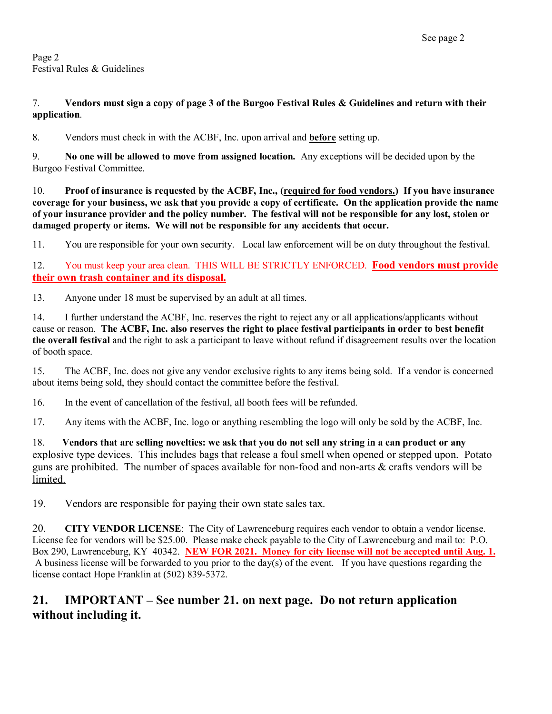Page 2 Festival Rules & Guidelines

#### 7. **Vendors must sign a copy of page 3 of the Burgoo Festival Rules & Guidelines and return with their application**.

8. Vendors must check in with the ACBF, Inc. upon arrival and **before** setting up.

9. **No one will be allowed to move from assigned location.** Any exceptions will be decided upon by the Burgoo Festival Committee.

10. **Proof of insurance is requested by the ACBF, Inc., (required for food vendors.) If you have insurance coverage for your business, we ask that you provide a copy of certificate. On the application provide the name of your insurance provider and the policy number. The festival will not be responsible for any lost, stolen or damaged property or items. We will not be responsible for any accidents that occur.**

11. You are responsible for your own security. Local law enforcement will be on duty throughout the festival.

12. You must keep your area clean. THIS WILL BE STRICTLY ENFORCED. **Food vendors must provide their own trash container and its disposal.**

13. Anyone under 18 must be supervised by an adult at all times.

14. I further understand the ACBF, Inc. reserves the right to reject any or all applications/applicants without cause or reason. **The ACBF, Inc. also reserves the right to place festival participants in order to best benefit the overall festival** and the right to ask a participant to leave without refund if disagreement results over the location of booth space.

15. The ACBF, Inc. does not give any vendor exclusive rights to any items being sold. If a vendor is concerned about items being sold, they should contact the committee before the festival.

16. In the event of cancellation of the festival, all booth fees will be refunded.

17. Any items with the ACBF, Inc. logo or anything resembling the logo will only be sold by the ACBF, Inc.

18. **Vendors that are selling novelties: we ask that you do not sell any string in a can product or any**  explosive type devices. This includes bags that release a foul smell when opened or stepped upon. Potato guns are prohibited. The number of spaces available for non-food and non-arts & crafts vendors will be limited.

19. Vendors are responsible for paying their own state sales tax.

20. **CITY VENDOR LICENSE**: The City of Lawrenceburg requires each vendor to obtain a vendor license. License fee for vendors will be \$25.00. Please make check payable to the City of Lawrenceburg and mail to: P.O. Box 290, Lawrenceburg, KY 40342. **NEW FOR 2021. Money for city license will not be accepted until Aug. 1.** A business license will be forwarded to you prior to the day(s) of the event. If you have questions regarding the license contact Hope Franklin at (502) 839-5372.

## **21. IMPORTANT – See number 21. on next page. Do not return application without including it.**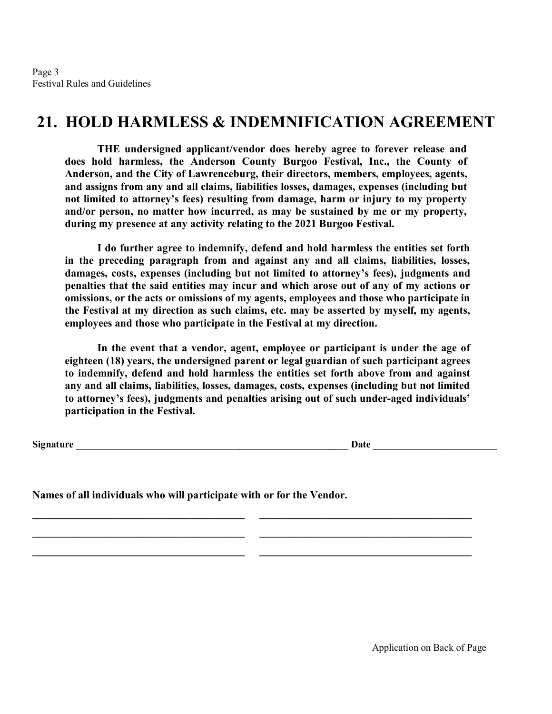Page 3 Festival Rules and Guidelines

# **21. HOLD HARMLESS & INDEMNIFICATION AGREEMENT**

 **THE undersigned applicant/vendor does hereby agree to forever release and does hold harmless, the Anderson County Burgoo Festival, Inc., the County of Anderson, and the City of Lawrenceburg, their directors, members, employees, agents, and assigns from any and all claims, liabilities losses, damages, expenses (including but not limited to attorney's fees) resulting from damage, harm or injury to my property and/or person, no matter how incurred, as may be sustained by me or my property, during my presence at any activity relating to the 2021 Burgoo Festival.** 

 **I do further agree to indemnify, defend and hold harmless the entities set forth in the preceding paragraph from and against any and all claims, liabilities, losses, damages, costs, expenses (including but not limited to attorney's fees), judgments and penalties that the said entities may incur and which arose out of any of my actions or omissions, or the acts or omissions of my agents, employees and those who participate in the Festival at my direction as such claims, etc. may be asserted by myself, my agents, employees and those who participate in the Festival at my direction.** 

 **In the event that a vendor, agent, employee or participant is under the age of eighteen (18) years, the undersigned parent or legal guardian of such participant agrees to indemnify, defend and hold harmless the entities set forth above from and against any and all claims, liabilities, losses, damages, costs, expenses (including but not limited to attorney's fees), judgments and penalties arising out of such under-aged individuals' participation in the Festival.** 

**\_\_\_\_\_\_\_\_\_\_\_\_\_\_\_\_\_\_\_\_\_\_\_\_\_\_\_\_\_\_\_\_\_\_\_\_\_\_\_\_\_\_\_\_\_\_\_ \_\_\_\_\_\_\_\_\_\_\_\_\_\_\_\_\_\_\_\_\_\_\_\_\_\_\_\_\_\_\_\_\_\_\_\_\_\_\_\_\_\_\_\_\_\_\_**

**\_\_\_\_\_\_\_\_\_\_\_\_\_\_\_\_\_\_\_\_\_\_\_\_\_\_\_\_\_\_\_\_\_\_\_\_\_\_\_\_\_\_\_\_\_\_\_ \_\_\_\_\_\_\_\_\_\_\_\_\_\_\_\_\_\_\_\_\_\_\_\_\_\_\_\_\_\_\_\_\_\_\_\_\_\_\_\_\_\_\_\_\_\_\_**

**\_\_\_\_\_\_\_\_\_\_\_\_\_\_\_\_\_\_\_\_\_\_\_\_\_\_\_\_\_\_\_\_\_\_\_\_\_\_\_\_\_\_\_\_\_\_\_ \_\_\_\_\_\_\_\_\_\_\_\_\_\_\_\_\_\_\_\_\_\_\_\_\_\_\_\_\_\_\_\_\_\_\_\_\_\_\_\_\_\_\_\_\_\_\_**

**Signature Date 2.1 All 2.2 Signature Date 2.2 Signature Date 2.2 Signature 2.2 Signature 2.2 Signature 2.2 Signature 2.2 Signature 2.2 Signature 2.2 Signature 2.2 Signature 2.2 Signature 2.2 Signature 2.2 Signature 2.2 Si** 

**Names of all individuals who will participate with or for the Vendor.**

Application on Back of Page